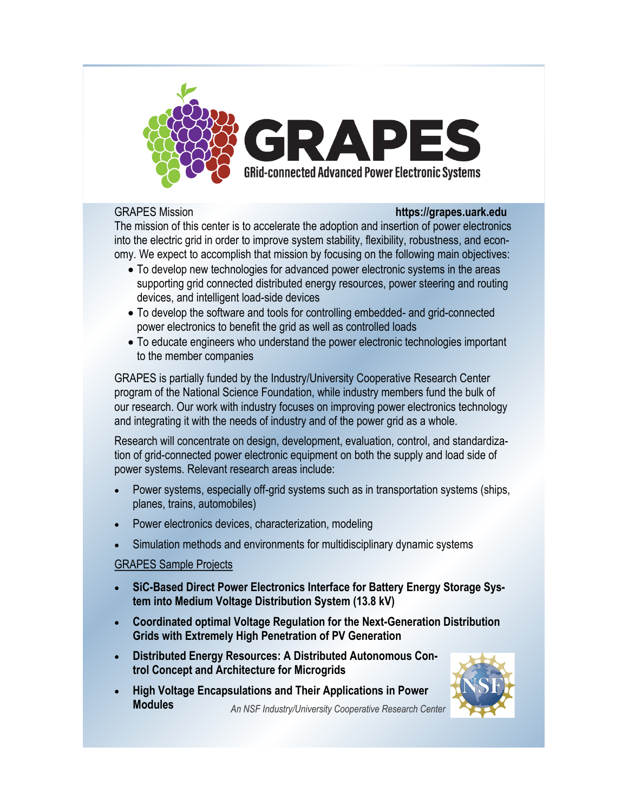

## GRAPES Mission **https://grapes.uark.edu**

The mission of this center is to accelerate the adoption and insertion of power electronics into the electric grid in order to improve system stability, flexibility, robustness, and economy. We expect to accomplish that mission by focusing on the following main objectives:

- To develop new technologies for advanced power electronic systems in the areas supporting grid connected distributed energy resources, power steering and routing devices, and intelligent load-side devices
- To develop the software and tools for controlling embedded- and grid-connected power electronics to benefit the grid as well as controlled loads
- To educate engineers who understand the power electronic technologies important to the member companies

GRAPES is partially funded by the Industry/University Cooperative Research Center program of the National Science Foundation, while industry members fund the bulk of our research. Our work with industry focuses on improving power electronics technology and integrating it with the needs of industry and of the power grid as a whole.

Research will concentrate on design, development, evaluation, control, and standardization of grid-connected power electronic equipment on both the supply and load side of power systems. Relevant research areas include:

- Power systems, especially off-grid systems such as in transportation systems (ships, planes, trains, automobiles)
- Power electronics devices, characterization, modeling
- Simulation methods and environments for multidisciplinary dynamic systems

# GRAPES Sample Projects

- **SiC-Based Direct Power Electronics Interface for Battery Energy Storage System into Medium Voltage Distribution System (13.8 kV)**
- **Coordinated optimal Voltage Regulation for the Next-Generation Distribution Grids with Extremely High Penetration of PV Generation**
- **Distributed Energy Resources: A Distributed Autonomous Control Concept and Architecture for Microgrids**
- *An NSF Industry/University Cooperative Research Center* **High Voltage Encapsulations and Their Applications in Power Modules**